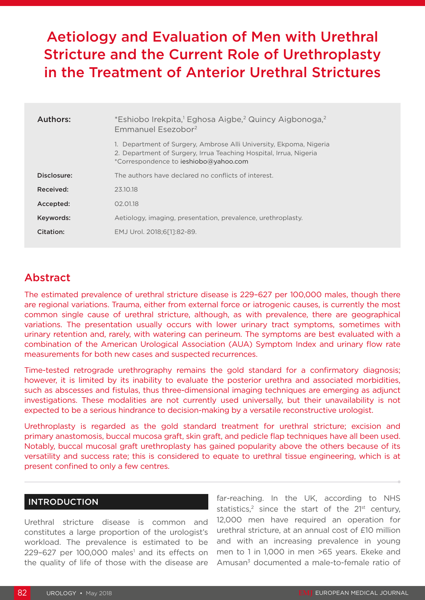# Aetiology and Evaluation of Men with Urethral Stricture and the Current Role of Urethroplasty in the Treatment of Anterior Urethral Strictures

| Authors:    | *Eshiobo Irekpita, <sup>1</sup> Eghosa Aigbe, <sup>2</sup> Quincy Aigbonoga, <sup>2</sup><br>Emmanuel Esezobor <sup>2</sup>                                                      |
|-------------|----------------------------------------------------------------------------------------------------------------------------------------------------------------------------------|
|             | 1. Department of Surgery, Ambrose Alli University, Ekpoma, Nigeria<br>2. Department of Surgery, Irrua Teaching Hospital, Irrua, Nigeria<br>*Correspondence to ieshiobo@yahoo.com |
| Disclosure: | The authors have declared no conflicts of interest.                                                                                                                              |
| Received:   | 23.10.18                                                                                                                                                                         |
| Accepted:   | 02.01.18                                                                                                                                                                         |
| Keywords:   | Aetiology, imaging, presentation, prevalence, urethroplasty.                                                                                                                     |
| Citation:   | EMJ Urol. 2018:6[11:82-89.                                                                                                                                                       |

## Abstract

The estimated prevalence of urethral stricture disease is 229–627 per 100,000 males, though there are regional variations. Trauma, either from external force or iatrogenic causes, is currently the most common single cause of urethral stricture, although, as with prevalence, there are geographical variations. The presentation usually occurs with lower urinary tract symptoms, sometimes with urinary retention and, rarely, with watering can perineum. The symptoms are best evaluated with a combination of the American Urological Association (AUA) Symptom Index and urinary flow rate measurements for both new cases and suspected recurrences.

Time-tested retrograde urethrography remains the gold standard for a confirmatory diagnosis; however, it is limited by its inability to evaluate the posterior urethra and associated morbidities, such as abscesses and fistulas, thus three-dimensional imaging techniques are emerging as adjunct investigations. These modalities are not currently used universally, but their unavailability is not expected to be a serious hindrance to decision-making by a versatile reconstructive urologist.

Urethroplasty is regarded as the gold standard treatment for urethral stricture; excision and primary anastomosis, buccal mucosa graft, skin graft, and pedicle flap techniques have all been used. Notably, buccal mucosal graft urethroplasty has gained popularity above the others because of its versatility and success rate; this is considered to equate to urethral tissue engineering, which is at present confined to only a few centres.

#### INTRODUCTION

Urethral stricture disease is common and constitutes a large proportion of the urologist's workload. The prevalence is estimated to be  $229-627$  per 100,000 males<sup>1</sup> and its effects on the quality of life of those with the disease are

far-reaching. In the UK, according to NHS statistics,<sup>2</sup> since the start of the  $21^{st}$  century, 12,000 men have required an operation for urethral stricture, at an annual cost of £10 million and with an increasing prevalence in young men to 1 in 1,000 in men >65 years. Ekeke and Amusan<sup>3</sup> documented a male-to-female ratio of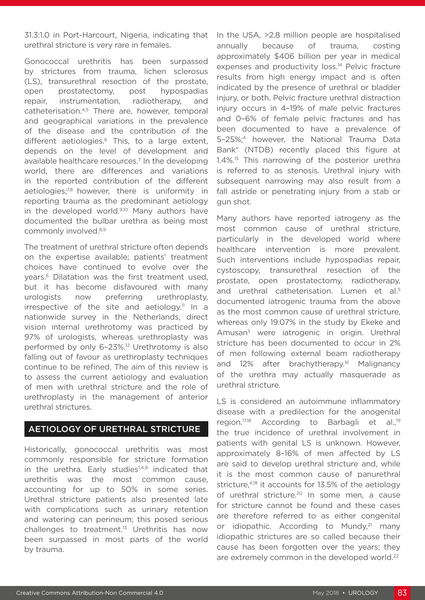31.3:1.0 in Port-Harcourt, Nigeria, indicating that urethral stricture is very rare in females.

Gonococcal urethritis has been surpassed by strictures from trauma, lichen sclerosus (LS), transurethral resection of the prostate, open prostatectomy, post hypospadias repair, instrumentation, radiotherapy, and catheterisation.4,5 There are, however, temporal and geographical variations in the prevalence of the disease and the contribution of the different aetiologies.<sup>6</sup> This, to a large extent, depends on the level of development and available healthcare resources.<sup>7</sup> In the developing world, there are differences and variations in the reported contribution of the different aetiologies;<sup>7,8</sup> however, there is uniformity in reporting trauma as the predominant aetiology in the developed world.<sup>9,10</sup> Many authors have documented the bulbar urethra as being most commonly involved.8,9

The treatment of urethral stricture often depends on the expertise available; patients' treatment choices have continued to evolve over the years.6 Dilatation was the first treatment used, but it has become disfavoured with many urologists now preferring urethroplasty, irrespective of the site and aetiology.<sup>11</sup> In a nationwide survey in the Netherlands, direct vision internal urethrotomy was practiced by 97% of urologists, whereas urethroplasty was performed by only 6–23%.12 Urethrotomy is also falling out of favour as urethroplasty techniques continue to be refined. The aim of this review is to assess the current aetiology and evaluation of men with urethral stricture and the role of urethroplasty in the management of anterior urethral strictures.

#### AETIOLOGY OF URETHRAL STRICTURE

Historically, gonococcal urethritis was most commonly responsible for stricture formation in the urethra. Early studies<sup>1,4,9</sup> indicated that urethritis was the most common cause, accounting for up to 50% in some series. Urethral stricture patients also presented late with complications such as urinary retention and watering can perineum; this posed serious challenges to treatment.13 Urethritis has now been surpassed in most parts of the world by trauma.

In the USA, >2.8 million people are hospitalised annually because of trauma, costing approximately \$406 billion per year in medical expenses and productivity loss.<sup>14</sup> Pelvic fracture results from high energy impact and is often indicated by the presence of urethral or bladder injury, or both. Pelvic fracture urethral distraction injury occurs in 4–19% of male pelvic fractures and 0–6% of female pelvic fractures and has been documented to have a prevalence of 5–25%;4 however, the National Trauma Data Bank® (NTDB) recently placed this figure at 1.4%.<sup>15</sup> This narrowing of the posterior urethra is referred to as stenosis. Urethral injury with subsequent narrowing may also result from a fall astride or penetrating injury from a stab or gun shot.

Many authors have reported iatrogeny as the most common cause of urethral stricture, particularly in the developed world where healthcare intervention is more prevalent. Such interventions include hypospadias repair, cystoscopy, transurethral resection of the prostate, open prostatectomy, radiotherapy, and urethral catheterisation. Lumen et al.<sup>5</sup> documented iatrogenic trauma from the above as the most common cause of urethral stricture, whereas only 19.07% in the study by Ekeke and Amusan<sup>3</sup> were iatrogenic in origin. Urethral stricture has been documented to occur in 2% of men following external beam radiotherapy and 12% after brachytherapy.<sup>16</sup> Malignancy of the urethra may actually masquerade as urethral stricture.

LS is considered an autoimmune inflammatory disease with a predilection for the anogenital region.<sup>17,18</sup> According to Barbagli et al.<sup>19</sup> the true incidence of urethral involvement in patients with genital LS is unknown. However, approximately 8–16% of men affected by LS are said to develop urethral stricture and, while it is the most common cause of panurethral stricture,4,18 it accounts for 13.5% of the aetiology of urethral stricture.20 In some men, a cause for stricture cannot be found and these cases are therefore referred to as either congenital or idiopathic. According to Mundy,<sup>21</sup> many idiopathic strictures are so called because their cause has been forgotten over the years; they are extremely common in the developed world.<sup>22</sup>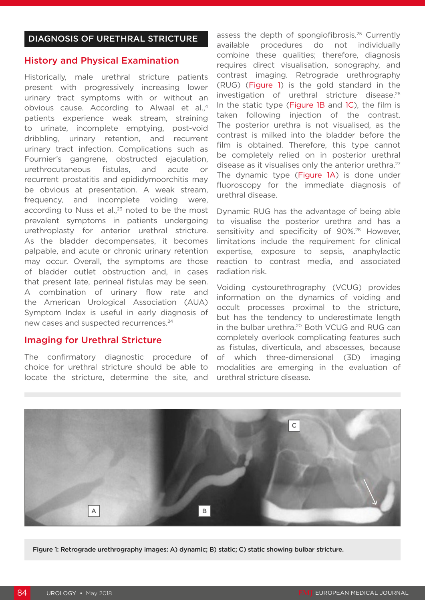#### History and Physical Examination

Historically, male urethral stricture patients present with progressively increasing lower urinary tract symptoms with or without an obvious cause. According to Alwaal et al.,4 patients experience weak stream, straining to urinate, incomplete emptying, post-void dribbling, urinary retention, and recurrent urinary tract infection. Complications such as Fournier's gangrene, obstructed ejaculation, urethrocutaneous fistulas, and acute or recurrent prostatitis and epididymoorchitis may be obvious at presentation. A weak stream, frequency, and incomplete voiding were, according to Nuss et al. $,2^3$  noted to be the most prevalent symptoms in patients undergoing urethroplasty for anterior urethral stricture. As the bladder decompensates, it becomes palpable, and acute or chronic urinary retention may occur. Overall, the symptoms are those of bladder outlet obstruction and, in cases that present late, perineal fistulas may be seen. A combination of urinary flow rate and the American Urological Association (AUA) Symptom Index is useful in early diagnosis of new cases and suspected recurrences.<sup>24</sup>

#### Imaging for Urethral Stricture

The confirmatory diagnostic procedure of choice for urethral stricture should be able to locate the stricture, determine the site, and

assess the depth of spongiofibrosis.25 Currently available procedures do not individually combine these qualities; therefore, diagnosis requires direct visualisation, sonography, and contrast imaging. Retrograde urethrography (RUG) (Figure 1) is the gold standard in the investigation of urethral stricture disease.26 In the static type (Figure 1B and 1C), the film is taken following injection of the contrast. The posterior urethra is not visualised, as the contrast is milked into the bladder before the film is obtained. Therefore, this type cannot be completely relied on in posterior urethral disease as it visualises only the anterior urethra.<sup>27</sup> The dynamic type (Figure 1A) is done under fluoroscopy for the immediate diagnosis of urethral disease.

Dynamic RUG has the advantage of being able to visualise the posterior urethra and has a sensitivity and specificity of 90%.<sup>28</sup> However, limitations include the requirement for clinical expertise, exposure to sepsis, anaphylactic reaction to contrast media, and associated radiation risk.

Voiding cystourethrography (VCUG) provides information on the dynamics of voiding and occult processes proximal to the stricture, but has the tendency to underestimate length in the bulbar urethra.<sup>20</sup> Both VCUG and RUG can completely overlook complicating features such as fistulas, diverticula, and abscesses, because of which three-dimensional (3D) imaging modalities are emerging in the evaluation of urethral stricture disease.



Figure 1: Retrograde urethrography images: A) dynamic; B) static; C) static showing bulbar stricture.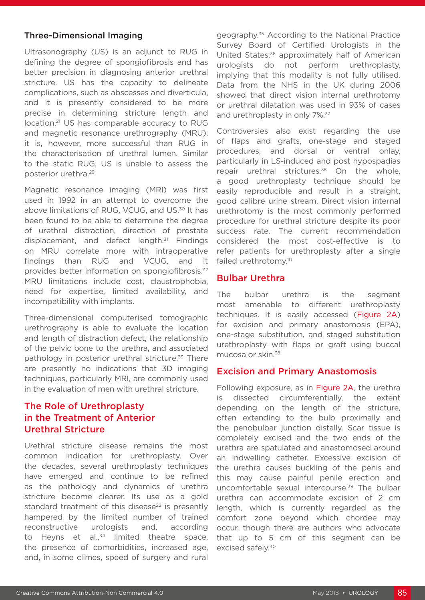#### Three-Dimensional Imaging

Ultrasonography (US) is an adjunct to RUG in defining the degree of spongiofibrosis and has better precision in diagnosing anterior urethral stricture. US has the capacity to delineate complications, such as abscesses and diverticula, and it is presently considered to be more precise in determining stricture length and location.21 US has comparable accuracy to RUG and magnetic resonance urethrography (MRU); it is, however, more successful than RUG in the characterisation of urethral lumen. Similar to the static RUG, US is unable to assess the posterior urethra.29

Magnetic resonance imaging (MRI) was first used in 1992 in an attempt to overcome the above limitations of RUG, VCUG, and US.<sup>30</sup> It has been found to be able to determine the degree of urethral distraction, direction of prostate displacement, and defect length. $31$  Findings on MRU correlate more with intraoperative findings than RUG and VCUG, and it provides better information on spongiofibrosis.32 MRU limitations include cost, claustrophobia, need for expertise, limited availability, and incompatibility with implants.

Three-dimensional computerised tomographic urethrography is able to evaluate the location and length of distraction defect, the relationship of the pelvic bone to the urethra, and associated pathology in posterior urethral stricture.<sup>33</sup> There are presently no indications that 3D imaging techniques, particularly MRI, are commonly used in the evaluation of men with urethral stricture.

### The Role of Urethroplasty in the Treatment of Anterior Urethral Stricture

Urethral stricture disease remains the most common indication for urethroplasty. Over the decades, several urethroplasty techniques have emerged and continue to be refined as the pathology and dynamics of urethra stricture become clearer. Its use as a gold standard treatment of this disease $22$  is presently hampered by the limited number of trained reconstructive urologists and, according to Heyns et al., $34$  limited theatre space, the presence of comorbidities, increased age, and, in some climes, speed of surgery and rural

geography.35 According to the National Practice Survey Board of Certified Urologists in the United States,<sup>36</sup> approximately half of American urologists do not perform urethroplasty, implying that this modality is not fully utilised. Data from the NHS in the UK during 2006 showed that direct vision internal urethrotomy or urethral dilatation was used in 93% of cases and urethroplasty in only 7%.<sup>37</sup>

Controversies also exist regarding the use of flaps and grafts, one-stage and staged procedures, and dorsal or ventral onlay, particularly in LS-induced and post hypospadias repair urethral strictures.<sup>38</sup> On the whole, a good urethroplasty technique should be easily reproducible and result in a straight, good calibre urine stream. Direct vision internal urethrotomy is the most commonly performed procedure for urethral stricture despite its poor success rate. The current recommendation considered the most cost-effective is to refer patients for urethroplasty after a single failed urethrotomy.<sup>10</sup>

#### Bulbar Urethra

The bulbar urethra is the segment most amenable to different urethroplasty techniques. It is easily accessed (Figure 2A) for excision and primary anastomosis (EPA), one-stage substitution, and staged substitution urethroplasty with flaps or graft using buccal mucosa or skin.38

#### Excision and Primary Anastomosis

Following exposure, as in Figure 2A, the urethra is dissected circumferentially, the extent depending on the length of the stricture, often extending to the bulb proximally and the penobulbar junction distally. Scar tissue is completely excised and the two ends of the urethra are spatulated and anastomosed around an indwelling catheter. Excessive excision of the urethra causes buckling of the penis and this may cause painful penile erection and uncomfortable sexual intercourse.39 The bulbar urethra can accommodate excision of 2 cm length, which is currently regarded as the comfort zone beyond which chordee may occur, though there are authors who advocate that up to 5 cm of this segment can be excised safely.40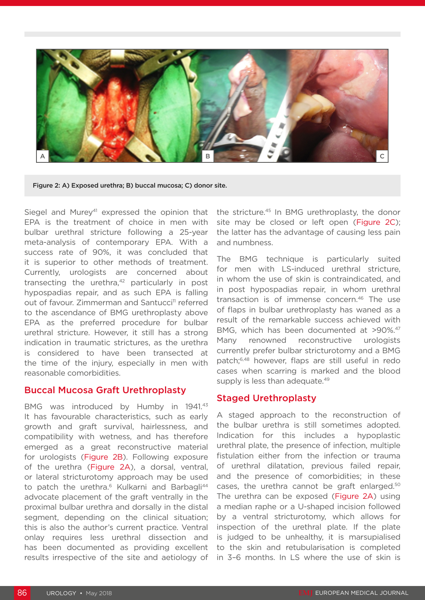

Figure 2: A) Exposed urethra; B) buccal mucosa; C) donor site.

Siegel and Murey<sup>41</sup> expressed the opinion that EPA is the treatment of choice in men with bulbar urethral stricture following a 25-year meta-analysis of contemporary EPA. With a success rate of 90%, it was concluded that it is superior to other methods of treatment. Currently, urologists are concerned about transecting the urethra, $42$  particularly in post hypospadias repair, and as such EPA is falling out of favour. Zimmerman and Santucci<sup>11</sup> referred to the ascendance of BMG urethroplasty above EPA as the preferred procedure for bulbar urethral stricture. However, it still has a strong indication in traumatic strictures, as the urethra is considered to have been transected at the time of the injury, especially in men with reasonable comorbidities.

#### Buccal Mucosa Graft Urethroplasty

BMG was introduced by Humby in 1941.<sup>43</sup> It has favourable characteristics, such as early growth and graft survival, hairlessness, and compatibility with wetness, and has therefore emerged as a great reconstructive material for urologists (Figure 2B). Following exposure of the urethra (Figure 2A), a dorsal, ventral, or lateral stricturotomy approach may be used to patch the urethra.<sup>6</sup> Kulkarni and Barbagli<sup>44</sup> advocate placement of the graft ventrally in the proximal bulbar urethra and dorsally in the distal segment, depending on the clinical situation; this is also the author's current practice. Ventral onlay requires less urethral dissection and has been documented as providing excellent results irrespective of the site and aetiology of

the stricture.45 In BMG urethroplasty, the donor site may be closed or left open (Figure 2C); the latter has the advantage of causing less pain and numbness.

The BMG technique is particularly suited for men with LS-induced urethral stricture, in whom the use of skin is contraindicated, and in post hypospadias repair, in whom urethral transaction is of immense concern.46 The use of flaps in bulbar urethroplasty has waned as a result of the remarkable success achieved with BMG, which has been documented at >90%.<sup>47</sup> Many renowned reconstructive urologists currently prefer bulbar stricturotomy and a BMG patch;6,48 however, flaps are still useful in redo cases when scarring is marked and the blood supply is less than adequate.<sup>49</sup>

#### Staged Urethroplasty

A staged approach to the reconstruction of the bulbar urethra is still sometimes adopted. Indication for this includes a hypoplastic urethral plate, the presence of infection, multiple fistulation either from the infection or trauma of urethral dilatation, previous failed repair, and the presence of comorbidities; in these cases, the urethra cannot be graft enlarged.50 The urethra can be exposed (Figure 2A) using a median raphe or a U-shaped incision followed by a ventral stricturotomy, which allows for inspection of the urethral plate. If the plate is judged to be unhealthy, it is marsupialised to the skin and retubularisation is completed in 3–6 months. In LS where the use of skin is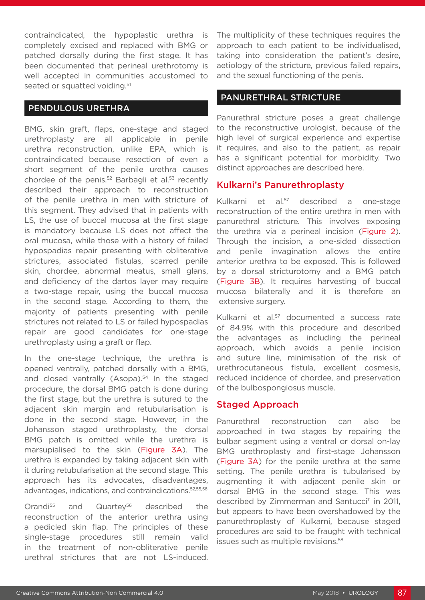contraindicated, the hypoplastic urethra is completely excised and replaced with BMG or patched dorsally during the first stage. It has been documented that perineal urethrotomy is well accepted in communities accustomed to seated or squatted voiding.<sup>51</sup>

#### PENDULOUS URETHRA

BMG, skin graft, flaps, one-stage and staged urethroplasty are all applicable in penile urethra reconstruction, unlike EPA, which is contraindicated because resection of even a short segment of the penile urethra causes chordee of the penis.<sup>52</sup> Barbagli et al.<sup>53</sup> recently described their approach to reconstruction of the penile urethra in men with stricture of this segment. They advised that in patients with LS, the use of buccal mucosa at the first stage is mandatory because LS does not affect the oral mucosa, while those with a history of failed hypospadias repair presenting with obliterative strictures, associated fistulas, scarred penile skin, chordee, abnormal meatus, small glans, and deficiency of the dartos layer may require a two-stage repair, using the buccal mucosa in the second stage. According to them, the majority of patients presenting with penile strictures not related to LS or failed hypospadias repair are good candidates for one-stage urethroplasty using a graft or flap.

In the one-stage technique, the urethra is opened ventrally, patched dorsally with a BMG, and closed ventrally (Asopa).<sup>54</sup> In the staged procedure, the dorsal BMG patch is done during the first stage, but the urethra is sutured to the adjacent skin margin and retubularisation is done in the second stage. However, in the Johansson staged urethroplasty, the dorsal BMG patch is omitted while the urethra is marsupialised to the skin (Figure 3A). The urethra is expanded by taking adjacent skin with it during retubularisation at the second stage. This approach has its advocates, disadvantages, advantages, indications, and contraindications.52,55,56

Orandi<sup>55</sup> and Quartev<sup>56</sup> described the reconstruction of the anterior urethra using a pedicled skin flap. The principles of these single-stage procedures still remain valid in the treatment of non-obliterative penile urethral strictures that are not LS-induced. The multiplicity of these techniques requires the approach to each patient to be individualised, taking into consideration the patient's desire, aetiology of the stricture, previous failed repairs, and the sexual functioning of the penis.

#### PANURETHRAL STRICTURE

Panurethral stricture poses a great challenge to the reconstructive urologist, because of the high level of surgical experience and expertise it requires, and also to the patient, as repair has a significant potential for morbidity. Two distinct approaches are described here.

#### Kulkarni's Panurethroplasty

Kulkarni et al.57 described a one-stage reconstruction of the entire urethra in men with panurethral stricture. This involves exposing the urethra via a perineal incision (Figure 2). Through the incision, a one-sided dissection and penile invagination allows the entire anterior urethra to be exposed. This is followed by a dorsal stricturotomy and a BMG patch (Figure 3B). It requires harvesting of buccal mucosa bilaterally and it is therefore an extensive surgery.

Kulkarni et al.<sup>57</sup> documented a success rate of 84.9% with this procedure and described the advantages as including the perineal approach, which avoids a penile incision and suture line, minimisation of the risk of urethrocutaneous fistula, excellent cosmesis, reduced incidence of chordee, and preservation of the bulbospongiosus muscle.

#### Staged Approach

Panurethral reconstruction can also be approached in two stages by repairing the bulbar segment using a ventral or dorsal on-lay BMG urethroplasty and first-stage Johansson (Figure 3A) for the penile urethra at the same setting. The penile urethra is tubularised by augmenting it with adjacent penile skin or dorsal BMG in the second stage. This was described by Zimmerman and Santucci<sup>11</sup> in 2011, but appears to have been overshadowed by the panurethroplasty of Kulkarni, because staged procedures are said to be fraught with technical issues such as multiple revisions.<sup>58</sup>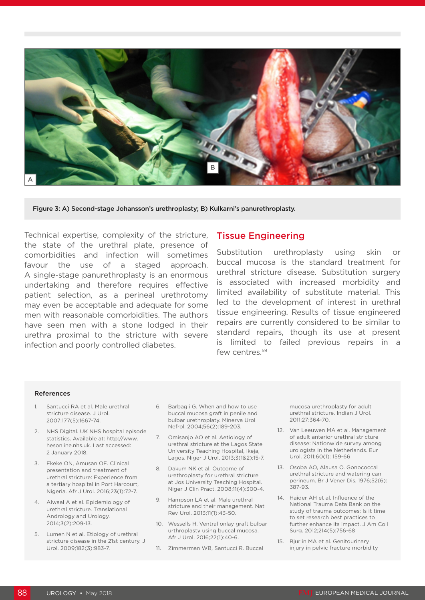

Figure 3: A) Second-stage Johansson's urethroplasty; B) Kulkarni's panurethroplasty.

Technical expertise, complexity of the stricture, the state of the urethral plate, presence of comorbidities and infection will sometimes favour the use of a staged approach. A single-stage panurethroplasty is an enormous undertaking and therefore requires effective patient selection, as a perineal urethrotomy may even be acceptable and adequate for some men with reasonable comorbidities. The authors have seen men with a stone lodged in their urethra proximal to the stricture with severe infection and poorly controlled diabetes.

#### Tissue Engineering

Substitution urethroplasty using skin or buccal mucosa is the standard treatment for urethral stricture disease. Substitution surgery is associated with increased morbidity and limited availability of substitute material. This led to the development of interest in urethral tissue engineering. Results of tissue engineered repairs are currently considered to be similar to standard repairs, though its use at present is limited to failed previous repairs in a few centres.<sup>59</sup>

#### References

- 1. Santucci RA et al. Male urethral stricture disease. J Urol. 2007;177(5):1667-74.
- 2. NHS Digital. UK NHS hospital episode statistics. Available at: http://www. hesonline.nhs.uk. Last accessed: 2 January 2018.
- 3. Ekeke ON, Amusan OE. Clinical presentation and treatment of urethral stricture: Experience from a tertiary hospital in Port Harcourt, Nigeria. Afr J Urol. 2016;23(1):72-7.
- 4. Alwaal A et al. Epidemiology of urethral stricture. Translational Andrology and Urology. 2014;3(2):209-13.
- 5. Lumen N et al. Etiology of urethral stricture disease in the 21st century. J Urol. 2009;182(3):983-7.
- 6. Barbagli G. When and how to use buccal mucosa graft in penile and bulbar urethroplaty. Minerva Urol Nefrol. 2004;56(2):189-203.
- 7. Omisanjo AO et al. Aetiology of urethral stricture at the Lagos State University Teaching Hospital, Ikeja, Lagos. Niger J Urol. 2013;3(1&2):15-7.
- 8. Dakum NK et al. Outcome of urethroplasty for urethral stricture at Jos University Teaching Hospital. Niger J Clin Pract. 2008;11(4):300-4.
- 9. Hampson LA et al. Male urethral stricture and their management. Nat Rev Urol. 2013;11(1):43-50.
- 10. Wessells H. Ventral onlay graft bulbar urthroplasty using buccal mucosa. Afr J Urol. 2016;22(1):40-6.
- 11. Zimmerman WB, Santucci R. Buccal

mucosa urethroplasty for adult urethral stricture. Indian J Urol. 2011;27:364-70.

- 12. Van Leeuwen MA et al. Management of adult anterior urethral stricture disease: Nationwide survey among urologists in the Netherlands. Eur Urol. 2011;60(1): 159-66
- 13. Osoba AO, Alausa O. Gonococcal urethral stricture and watering can perineum. Br J Vener Dis. 1976;52(6): 387-93.
- 14. Haider AH et al. Influence of the National Trauma Data Bank on the study of trauma outcomes: Is it time to set research best practices to further enhance its impact. J Am Coll Surg. 2012;214(5):756-68
- 15. Bjurlin MA et al. Genitourinary injury in pelvic fracture morbidity